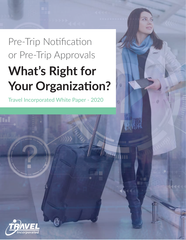# Pre-Trip Notification or Pre-Trip Approvals **What's Right for Your Organization?**

ŋ

Travel Incorporated White Paper - 2020

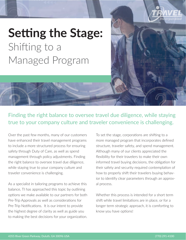

# **Setting the Stage:**  Shifting to a Managed Program

Finding the right balance to oversee travel due diligence, while staying true to your company culture and traveler convenience is challenging.

Over the past few months, many of our customers have enhanced their travel management programs to include a more structured process for ensuring safety through Duty of Care, as well as spend management through policy adjustments. Finding the right balance to oversee travel due diligence, while staying true to your company culture and traveler convenience is challenging.

As a specialist in tailoring programs to achieve this balance, TI has approached this topic by outlining options we make available to our partners for both Pre-Trip Approvals as well as considerations for Pre-Trip Notifications. It is our intent to provide the highest degree of clarity as well as guide you to making the best decisions for your organization. To set the stage, corporations are shifting to a more managed program that incorporates defined structure, traveler safety, and spend management. Although many of our clients appreciated the flexibility for their travelers to make their own informed travel buying decisions, the obligation for their safety and security required contemplation of how to properly shift their travelers buying behavior to identify clear parameters through an approval process.

Whether this process is intended for a short term shift while travel limitations are in place, or for a longer term strategic approach, it is comforting to know you have options!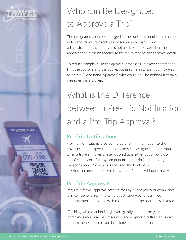

**BOARDING PASS** 

*LICINT VANDISRE ENDOATE* 

## Who can Be Designated to Approve a Trip?

The designated approver is tagged in the traveler's profile, and can be either the traveler's direct supervisor, or a company-wide administrator. If the approver is not available or on vacation, the approver can reassign another associate to receive the approval detail.

To reduce complexity in the approval processes, it is most common to limit the approvers to the above, but in some instances you may elect to have a "Conditional Approver" who would only be notified if certain fare rules were broken.

# What is the Difference between a Pre-Trip Notification and a Pre-Trip Approval?

### Pre-Trip Notifications

Pre-Trip Notifications provide trip purchasing information to the traveler's direct supervisor, or companywide assigned administrator, when a traveler makes a reservation that is either out of policy, or out of compliance for any component of the trip (air, hotel or ground transportation). No action is required, the booking is ticketed, but most can be voided within 24 hours without penalty.

### Pre-Trip Approvals

require a formal approval process for any out of policy or compliance trip component from the same direct supervisor or assigned administrator to proceed with the trip before the booking is ticketed.

Deciding which option is right you greatly depends on your company's requirements, resources and corporate culture. Let's dive into the benefits and related challenges of both options.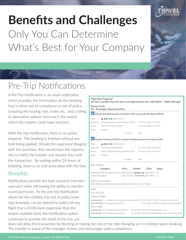

# **Benefits and Challenges**  Only You Can Determine What's Best for Your Company

## Pre-Trip Notifications

A Pre-Trip Notification is an email notification which provides the information on the booking that is either out of compliance or out of policy, including the routing, fare, hotel, etc., and a listing of alternative options returned in the search which the traveler could have selected.

With Pre-trip Notification, there is no action required. The booking is ticketed without any hold being applied. Should the supervisor disagree with the purchase, they would have the opportunity to notify the traveler and request they void the transaction. By voiding within 24 hours of ticketing, there is no cost associated with the fare.

#### **Benefits**

Notifications provide the least resource intensive approach while still having the ability to monitor travel purchases. As the pre-trip Notification allows for the visibility into out of policy bookings (example, can be tailored to policy for any flight that is \$100 more expensive than the lowest available fare), the Notification option continues to provide the detail of the trip, yet

| Figur Ruie Triggereu<br>Air Fare is greater than the least cost logical airfare plus 100 dollars - Notify Manager<br>Reason Code:<br>PA - Passenger requested airline |                                                                                           |                                                                                                                |  |
|-----------------------------------------------------------------------------------------------------------------------------------------------------------------------|-------------------------------------------------------------------------------------------|----------------------------------------------------------------------------------------------------------------|--|
|                                                                                                                                                                       |                                                                                           |                                                                                                                |  |
| Flight:                                                                                                                                                               | $\triangle$ DELTA Flight # 2672 Y                                                         |                                                                                                                |  |
|                                                                                                                                                                       | Departure: Atlanta Hartsfield-Jackson Intl Airport (ATL)                                  | Fri 12/11/2020 at 7:50 AM                                                                                      |  |
| Arrival:                                                                                                                                                              | Orlando Intl Airport (MCO)                                                                | Fri 12/11/2020 at 9:21 AM                                                                                      |  |
| Stops:                                                                                                                                                                | Nonstop                                                                                   |                                                                                                                |  |
|                                                                                                                                                                       | Flt Miles:                                                                                | 404                                                                                                            |  |
|                                                                                                                                                                       | Orlando Intl Airport (MCO) to Atlanta Hartsfield-Jackson Intl Airport (ATL)               |                                                                                                                |  |
| Flight:                                                                                                                                                               | $\triangle$ DELTA Flight # 2324 Y                                                         |                                                                                                                |  |
| Departure:                                                                                                                                                            | Orlando Intl Airport (MCO)                                                                | Sat 12/12/2020 at 6:30 PM                                                                                      |  |
| Arrival:                                                                                                                                                              | Atlanta Hartsfield-Jackson Intl Airport (ATL)                                             | Sat 12/12/2020 at 8:10 PM                                                                                      |  |
| Stops:                                                                                                                                                                | Nonstop                                                                                   |                                                                                                                |  |
|                                                                                                                                                                       | Flt Miles:                                                                                | 404                                                                                                            |  |
| <b>Best Options</b>                                                                                                                                                   |                                                                                           |                                                                                                                |  |
|                                                                                                                                                                       | Price<br>Category                                                                         | Vendor<br>Cities<br>Stops:                                                                                     |  |
| Best Price with the Fewest Stops USD 241.20 & DELTA ATL-MCO<br>$\circ$<br>Least cost logical<br>USD 152.20 American AI ATL-MCO<br>1                                   |                                                                                           |                                                                                                                |  |
|                                                                                                                                                                       | Options turned down:<br>The following options were presented to the user, but not chosen. |                                                                                                                |  |
| Flight                                                                                                                                                                |                                                                                           |                                                                                                                |  |
| Cost: \$152.20                                                                                                                                                        |                                                                                           |                                                                                                                |  |
| Outbound Flight                                                                                                                                                       |                                                                                           |                                                                                                                |  |
|                                                                                                                                                                       | American Airlines 2674 Charlotte Airport (CLT)                                            | American Airlines 153 Atlanta Hartsfield-Jackson Intl Airport (ATL) 12/11/2020 7:05 AM Charlotte Airport (CLT) |  |
| Return Flight                                                                                                                                                         |                                                                                           | 12/11/2020 11:20 AM Orlando Intl Airport (MCO)                                                                 |  |
|                                                                                                                                                                       | American Airlines 1 1611 Orlando Intl Airport (MCO)                                       | 12/12/2020 5:10 PM Charlotte Airport (CLT)                                                                     |  |
|                                                                                                                                                                       | American Airlines 2677 Charlotte Airport (CLT)                                            | 12/11/2020 7:05 AM Atlanta Hartsfield-Jackson Intl Airport (ATL)                                               |  |

does not delay the transaction by blocking or having the risk of the rate changing as it is ticketed upon booking. The traveler is aware of the manager review, and encourages policy compliance.

Flight Rule Triggered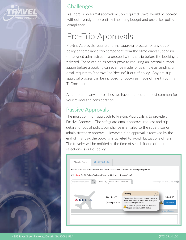

#### **Challenges**

As there is no formal approval action required, travel would be booked without oversight, potentially impacting budget and pre-ticket policy compliance.

### Pre-Trip Approvals

Pre-trip Approvals require a formal approval process for any out of policy or compliance trip component from the same direct supervisor or assigned administrator to proceed with the trip before the booking is ticketed. These can be as prescriptive as requiring an internal authorization before a booking can even be made, or as simple as sending an email request to "approve" or "decline" if out of policy. Any pre-trip approval process can be included for bookings made offline through a TI Consultant.

As there are many approaches, we have outlined the most common for your review and consideration:

#### Passive Approvals

The most common approach to Pre-trip Approvals is to provide a Passive Approval. The safeguard emails approval request and trip details for out of policy/compliance is emailed to the supervisor or administrator to approve. However, if no approval is received by the end of that day, the booking is ticketed to avoid fluctuations of fare. The traveler will be notified at the time of search if one of their selections is out of policy.

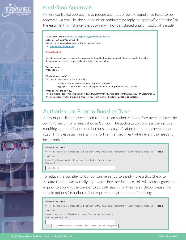



A more controlled approach is to require each out of policy/compliance ticket to be approved via email by the supervisor or administrator replying "approve" or "decline" to the email. In this instance, the booking will not be ticketed until an approval is made.

From: Concur Travel <TravelWizardApprovals@concursolutions.com> Date: Tue, Oct 13, 2020 at 4:53 PM Subject: Travel approval required for traveler William Never To: <user.name@company.com>

#### **Action Required**

One of your employees has submitted a request for travel that requires approval. Please review the trip details, then approve or reject the request following the instructions below.

**Traveler Name:** William Never

**What do I need to do?** You can approve or reject this trip by either:

> Replying to this email with the word "Approve" or "Reject" Logging into Concur Travel and following the instructions to approve or reject the trip

#### **When do I need to do it by?**

This trip **must be approved or rejected by: 10/14/2020 9:00 PM Eastern time (10/14/2020 9:00 PM Eastern time)**. If you do not approve the trip by this time or if you reject the trip, it will **automatically be cancelled.**

#### Authorization Prior to Booking Travel

A few of our clients have chosen to require an authorization before travelers have the ability to search for a reservation in Concur. The authorization process can include requiring an authorization number, or simply a verification the trip has been authorized. This is especially useful in a short term environment when every trip needs to be authorized.

| <b>Welcome to Concur!</b>                                                                                                                  |  |  |
|--------------------------------------------------------------------------------------------------------------------------------------------|--|--|
| We need a little more information to start booking your trip. Please take a moment to fill out the following fields and click <b>Next.</b> |  |  |
| Thank you.                                                                                                                                 |  |  |
| Please Provide your 10 digit trip approval code obtained from your manager.<br>[Required]                                                  |  |  |
| 1111111111                                                                                                                                 |  |  |

To reduce the complexity, Concur can be set up to simply have a Box Check to validate the trip was verbally approved. In either instance, this will act as a gatekeeper prior to allowing the traveler to actually search for their fares. Below please find sample options for authorization requirements at the time of booking:

| <b>Welcome to Concur!</b>                                                                                                                  |  |  |  |
|--------------------------------------------------------------------------------------------------------------------------------------------|--|--|--|
| We need a little more information to start booking your trip. Please take a moment to fill out the following fields and click <b>Next.</b> |  |  |  |
| Thank you.                                                                                                                                 |  |  |  |
| Please confirm that your Travel Authorization Form has been approved by<br>your manager [Required]                                         |  |  |  |
| $\overline{\phantom{a}}$                                                                                                                   |  |  |  |
| confirm that my Travel Authorization Form has been completed and approved.                                                                 |  |  |  |